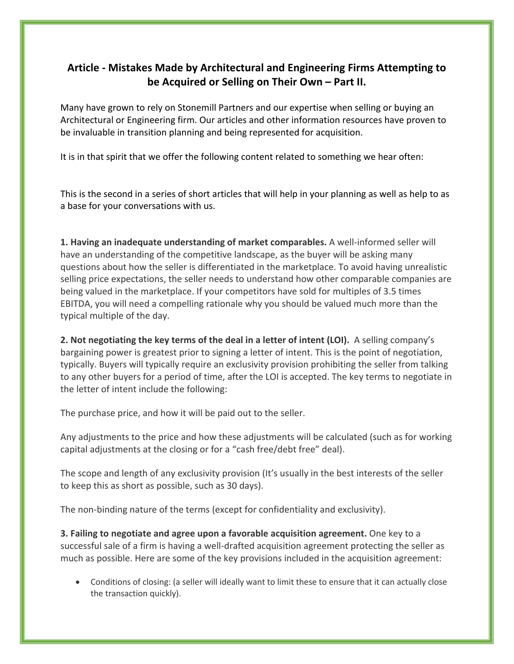## **Article - Mistakes Made by Architectural and Engineering Firms Attempting to be Acquired or Selling on Their Own – Part II.**

Many have grown to rely on Stonemill Partners and our expertise when selling or buying an Architectural or Engineering firm. Our articles and other information resources have proven to be invaluable in transition planning and being represented for acquisition.

It is in that spirit that we offer the following content related to something we hear often:

This is the second in a series of short articles that will help in your planning as well as help to as a base for your conversations with us.

**1. Having an inadequate understanding of market comparables.** A well-informed seller will have an understanding of the competitive landscape, as the buyer will be asking many questions about how the seller is differentiated in the marketplace. To avoid having unrealistic selling price expectations, the seller needs to understand how other comparable companies are being valued in the marketplace. If your competitors have sold for multiples of 3.5 times EBITDA, you will need a compelling rationale why you should be valued much more than the typical multiple of the day.

**2. Not negotiating the key terms of the deal in a letter of intent (LOI).** A selling company's bargaining power is greatest prior to signing a letter of intent. This is the point of negotiation, typically. Buyers will typically require an exclusivity provision prohibiting the seller from talking to any other buyers for a period of time, after the LOI is accepted. The key terms to negotiate in the letter of intent include the following:

The purchase price, and how it will be paid out to the seller.

Any adjustments to the price and how these adjustments will be calculated (such as for working capital adjustments at the closing or for a "cash free/debt free" deal).

The scope and length of any exclusivity provision (It's usually in the best interests of the seller to keep this as short as possible, such as 30 days).

The non-binding nature of the terms (except for confidentiality and exclusivity).

**3. Failing to negotiate and agree upon a favorable acquisition agreement.** One key to a successful sale of a firm is having a well-drafted acquisition agreement protecting the seller as much as possible. Here are some of the key provisions included in the acquisition agreement:

• Conditions of closing: (a seller will ideally want to limit these to ensure that it can actually close the transaction quickly).